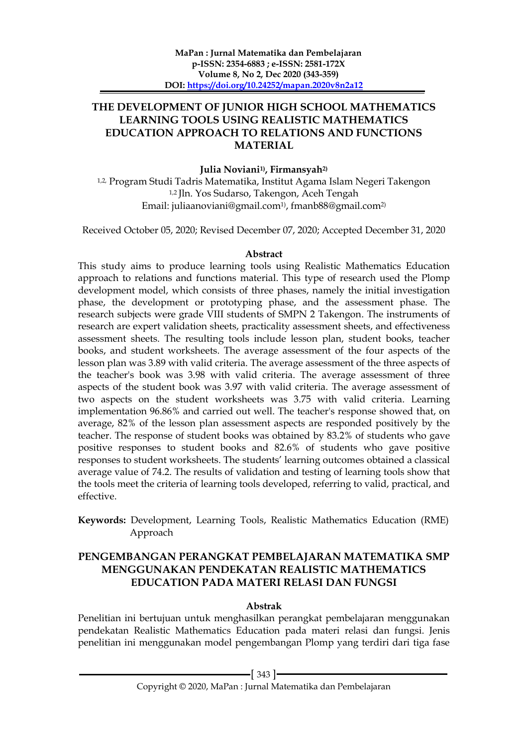### **THE DEVELOPMENT OF JUNIOR HIGH SCHOOL MATHEMATICS LEARNING TOOLS USING REALISTIC MATHEMATICS EDUCATION APPROACH TO RELATIONS AND FUNCTIONS MATERIAL**

#### **Julia Noviani1) , Firmansyah2)**

1,2, Program Studi Tadris Matematika, Institut Agama Islam Negeri Takengon 1,2 Jln. Yos Sudarso, Takengon, Aceh Tengah Email: juliaanoviani@gmail.com1) , [fmanb88@gmail.com](mailto:fmanb88@gmail.com2)2)

Received October 05, 2020; Revised December 07, 2020; Accepted December 31, 2020

#### **Abstract**

This study aims to produce learning tools using Realistic Mathematics Education approach to relations and functions material. This type of research used the Plomp development model, which consists of three phases, namely the initial investigation phase, the development or prototyping phase, and the assessment phase. The research subjects were grade VIII students of SMPN 2 Takengon. The instruments of research are expert validation sheets, practicality assessment sheets, and effectiveness assessment sheets. The resulting tools include lesson plan, student books, teacher books, and student worksheets. The average assessment of the four aspects of the lesson plan was 3.89 with valid criteria. The average assessment of the three aspects of the teacher's book was 3.98 with valid criteria. The average assessment of three aspects of the student book was 3.97 with valid criteria. The average assessment of two aspects on the student worksheets was 3.75 with valid criteria. Learning implementation 96.86% and carried out well. The teacher's response showed that, on average, 82% of the lesson plan assessment aspects are responded positively by the teacher. The response of student books was obtained by 83.2% of students who gave positive responses to student books and 82.6% of students who gave positive responses to student worksheets. The students' learning outcomes obtained a classical average value of 74.2. The results of validation and testing of learning tools show that the tools meet the criteria of learning tools developed, referring to valid, practical, and effective.

**Keywords:** Development, Learning Tools, Realistic Mathematics Education (RME) Approach

# **PENGEMBANGAN PERANGKAT PEMBELAJARAN MATEMATIKA SMP MENGGUNAKAN PENDEKATAN REALISTIC MATHEMATICS EDUCATION PADA MATERI RELASI DAN FUNGSI**

### **Abstrak**

Penelitian ini bertujuan untuk menghasilkan perangkat pembelajaran menggunakan pendekatan Realistic Mathematics Education pada materi relasi dan fungsi. Jenis penelitian ini menggunakan model pengembangan Plomp yang terdiri dari tiga fase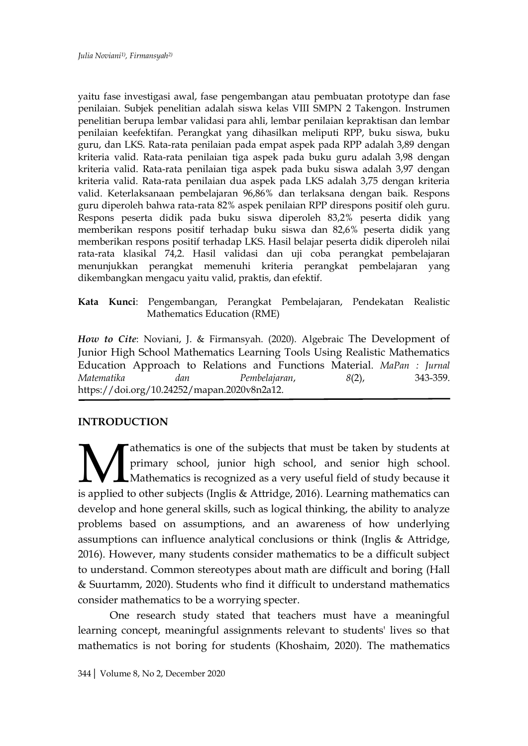yaitu fase investigasi awal, fase pengembangan atau pembuatan prototype dan fase penilaian. Subjek penelitian adalah siswa kelas VIII SMPN 2 Takengon. Instrumen penelitian berupa lembar validasi para ahli, lembar penilaian kepraktisan dan lembar penilaian keefektifan. Perangkat yang dihasilkan meliputi RPP, buku siswa, buku guru, dan LKS. Rata-rata penilaian pada empat aspek pada RPP adalah 3,89 dengan kriteria valid. Rata-rata penilaian tiga aspek pada buku guru adalah 3,98 dengan kriteria valid. Rata-rata penilaian tiga aspek pada buku siswa adalah 3,97 dengan kriteria valid. Rata-rata penilaian dua aspek pada LKS adalah 3,75 dengan kriteria valid. Keterlaksanaan pembelajaran 96,86% dan terlaksana dengan baik. Respons guru diperoleh bahwa rata-rata 82% aspek penilaian RPP direspons positif oleh guru. Respons peserta didik pada buku siswa diperoleh 83,2% peserta didik yang memberikan respons positif terhadap buku siswa dan 82,6% peserta didik yang memberikan respons positif terhadap LKS. Hasil belajar peserta didik diperoleh nilai rata-rata klasikal 74,2. Hasil validasi dan uji coba perangkat pembelajaran menunjukkan perangkat memenuhi kriteria perangkat pembelajaran yang dikembangkan mengacu yaitu valid, praktis, dan efektif.

**Kata Kunci**: Pengembangan, Perangkat Pembelajaran, Pendekatan Realistic Mathematics Education (RME)

*How to Cite*: Noviani, J. & Firmansyah. (2020). Algebraic The Development of Junior High School Mathematics Learning Tools Using Realistic Mathematics Education Approach to Relations and Functions Material. *MaPan : Jurnal Matematika dan Pembelajaran*, *8*(2), 343-359. https://doi.org/10.24252/mapan.2020v8n2a12.

# **INTRODUCTION**

athematics is one of the subjects that must be taken by students at primary school, junior high school, and senior high school. Mathematics is recognized as a very useful field of study because it **is applied to other subjects (Inglis & Attridge, 2016).** Learning mathematics can it is applied to other subjects (Inglis & Attridge, 2016). Learning mathematics can develop and hone general skills, such as logical thinking, the ability to analyze problems based on assumptions, and an awareness of how underlying assumptions can influence analytical conclusions or think (Inglis & Attridge, 2016). However, many students consider mathematics to be a difficult subject to understand. Common stereotypes about math are difficult and boring (Hall & Suurtamm, 2020). Students who find it difficult to understand mathematics consider mathematics to be a worrying specter.

One research study stated that teachers must have a meaningful learning concept, meaningful assignments relevant to students' lives so that mathematics is not boring for students (Khoshaim, 2020). The mathematics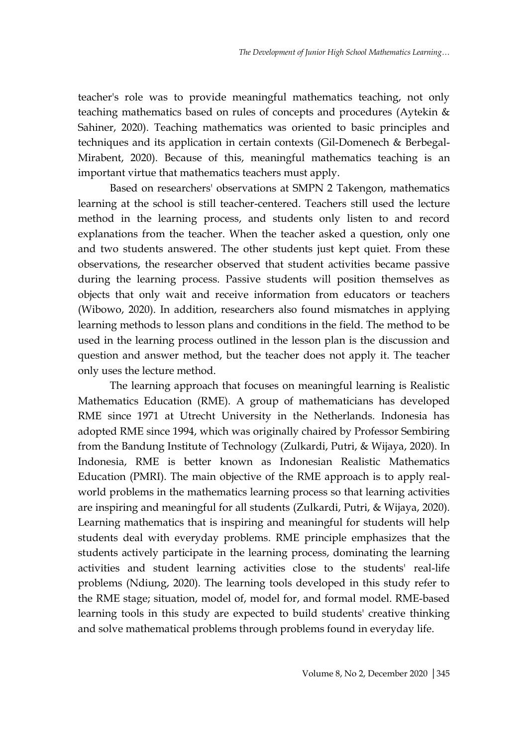teacher's role was to provide meaningful mathematics teaching, not only teaching mathematics based on rules of concepts and procedures (Aytekin & Sahiner, 2020). Teaching mathematics was oriented to basic principles and techniques and its application in certain contexts (Gil-Domenech & Berbegal-Mirabent, 2020). Because of this, meaningful mathematics teaching is an important virtue that mathematics teachers must apply.

Based on researchers' observations at SMPN 2 Takengon, mathematics learning at the school is still teacher-centered. Teachers still used the lecture method in the learning process, and students only listen to and record explanations from the teacher. When the teacher asked a question, only one and two students answered. The other students just kept quiet. From these observations, the researcher observed that student activities became passive during the learning process. Passive students will position themselves as objects that only wait and receive information from educators or teachers (Wibowo, 2020). In addition, researchers also found mismatches in applying learning methods to lesson plans and conditions in the field. The method to be used in the learning process outlined in the lesson plan is the discussion and question and answer method, but the teacher does not apply it. The teacher only uses the lecture method.

The learning approach that focuses on meaningful learning is Realistic Mathematics Education (RME). A group of mathematicians has developed RME since 1971 at Utrecht University in the Netherlands. Indonesia has adopted RME since 1994, which was originally chaired by Professor Sembiring from the Bandung Institute of Technology (Zulkardi, Putri, & Wijaya, 2020). In Indonesia, RME is better known as Indonesian Realistic Mathematics Education (PMRI). The main objective of the RME approach is to apply realworld problems in the mathematics learning process so that learning activities are inspiring and meaningful for all students (Zulkardi, Putri, & Wijaya, 2020). Learning mathematics that is inspiring and meaningful for students will help students deal with everyday problems. RME principle emphasizes that the students actively participate in the learning process, dominating the learning activities and student learning activities close to the students' real-life problems (Ndiung, 2020). The learning tools developed in this study refer to the RME stage; situation, model of, model for, and formal model. RME-based learning tools in this study are expected to build students' creative thinking and solve mathematical problems through problems found in everyday life.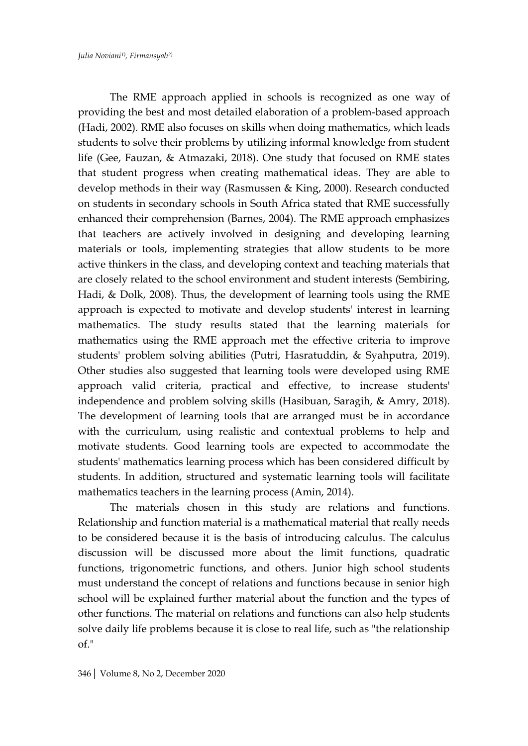The RME approach applied in schools is recognized as one way of providing the best and most detailed elaboration of a problem-based approach (Hadi, 2002). RME also focuses on skills when doing mathematics, which leads students to solve their problems by utilizing informal knowledge from student life (Gee, Fauzan, & Atmazaki, 2018). One study that focused on RME states that student progress when creating mathematical ideas. They are able to develop methods in their way (Rasmussen & King, 2000). Research conducted on students in secondary schools in South Africa stated that RME successfully enhanced their comprehension (Barnes, 2004). The RME approach emphasizes that teachers are actively involved in designing and developing learning materials or tools, implementing strategies that allow students to be more active thinkers in the class, and developing context and teaching materials that are closely related to the school environment and student interests (Sembiring, Hadi, & Dolk, 2008). Thus, the development of learning tools using the RME approach is expected to motivate and develop students' interest in learning mathematics. The study results stated that the learning materials for mathematics using the RME approach met the effective criteria to improve students' problem solving abilities (Putri, Hasratuddin, & Syahputra, 2019). Other studies also suggested that learning tools were developed using RME approach valid criteria, practical and effective, to increase students' independence and problem solving skills (Hasibuan, Saragih, & Amry, 2018). The development of learning tools that are arranged must be in accordance with the curriculum, using realistic and contextual problems to help and motivate students. Good learning tools are expected to accommodate the students' mathematics learning process which has been considered difficult by students. In addition, structured and systematic learning tools will facilitate mathematics teachers in the learning process (Amin, 2014).

The materials chosen in this study are relations and functions. Relationship and function material is a mathematical material that really needs to be considered because it is the basis of introducing calculus. The calculus discussion will be discussed more about the limit functions, quadratic functions, trigonometric functions, and others. Junior high school students must understand the concept of relations and functions because in senior high school will be explained further material about the function and the types of other functions. The material on relations and functions can also help students solve daily life problems because it is close to real life, such as "the relationship of."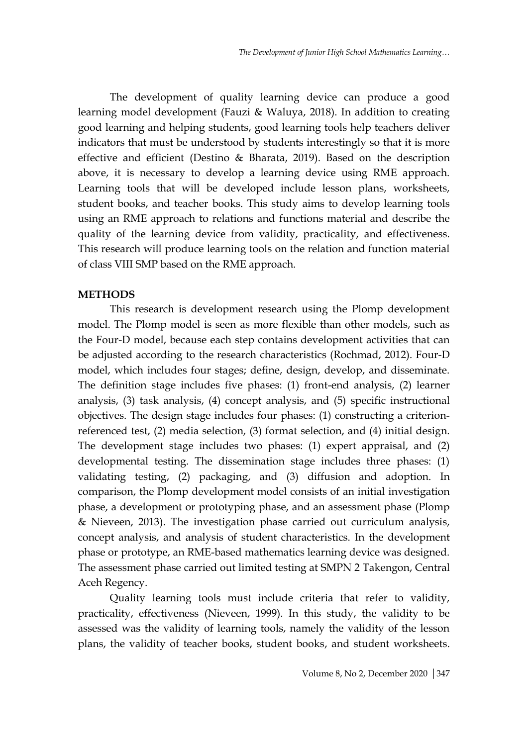The development of quality learning device can produce a good learning model development (Fauzi & Waluya, 2018). In addition to creating good learning and helping students, good learning tools help teachers deliver indicators that must be understood by students interestingly so that it is more effective and efficient (Destino & Bharata, 2019). Based on the description above, it is necessary to develop a learning device using RME approach. Learning tools that will be developed include lesson plans, worksheets, student books, and teacher books. This study aims to develop learning tools using an RME approach to relations and functions material and describe the quality of the learning device from validity, practicality, and effectiveness. This research will produce learning tools on the relation and function material of class VIII SMP based on the RME approach.

#### **METHODS**

This research is development research using the Plomp development model. The Plomp model is seen as more flexible than other models, such as the Four-D model, because each step contains development activities that can be adjusted according to the research characteristics (Rochmad, 2012). Four-D model, which includes four stages; define, design, develop, and disseminate. The definition stage includes five phases: (1) front-end analysis, (2) learner analysis, (3) task analysis, (4) concept analysis, and (5) specific instructional objectives. The design stage includes four phases: (1) constructing a criterionreferenced test, (2) media selection, (3) format selection, and (4) initial design. The development stage includes two phases: (1) expert appraisal, and (2) developmental testing. The dissemination stage includes three phases: (1) validating testing, (2) packaging, and (3) diffusion and adoption. In comparison, the Plomp development model consists of an initial investigation phase, a development or prototyping phase, and an assessment phase (Plomp & Nieveen, 2013). The investigation phase carried out curriculum analysis, concept analysis, and analysis of student characteristics. In the development phase or prototype, an RME-based mathematics learning device was designed. The assessment phase carried out limited testing at SMPN 2 Takengon, Central Aceh Regency.

Quality learning tools must include criteria that refer to validity, practicality, effectiveness (Nieveen, 1999). In this study, the validity to be assessed was the validity of learning tools, namely the validity of the lesson plans, the validity of teacher books, student books, and student worksheets.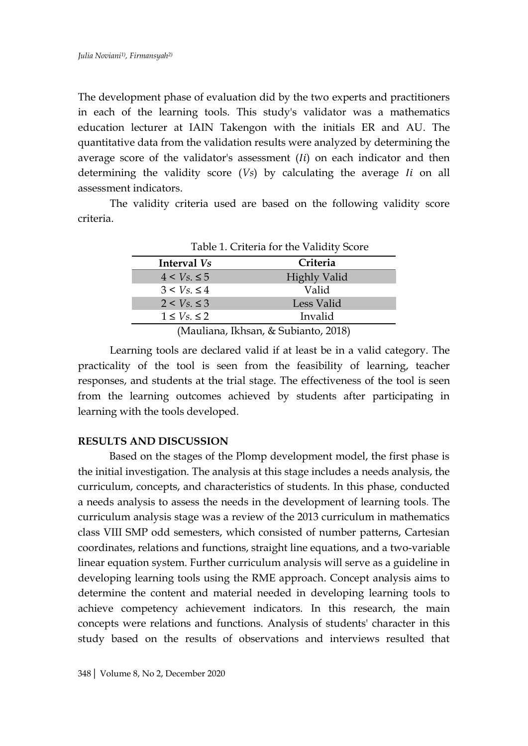The development phase of evaluation did by the two experts and practitioners in each of the learning tools. This study's validator was a mathematics education lecturer at IAIN Takengon with the initials ER and AU. The quantitative data from the validation results were analyzed by determining the average score of the validator's assessment  $(ii)$  on each indicator and then determining the validity score (*Vs*) by calculating the average *Ii* on all assessment indicators.

The validity criteria used are based on the following validity score criteria.

| Table 1. Criteria for the Validity Score |                                        |
|------------------------------------------|----------------------------------------|
| Interval Vs                              | Criteria                               |
| $4 < V_s \leq 5$                         | <b>Highly Valid</b>                    |
| $3 < V_s \leq 4$                         | Valid                                  |
| $2 < V_s \leq 3$                         | Less Valid                             |
| $1 \leq V_s \leq 2$                      | Invalid                                |
|                                          | $(Moulione Ucheen - L. Cubianto 2018)$ |

(Mauliana, Ikhsan, & Subianto, 2018)

Learning tools are declared valid if at least be in a valid category. The practicality of the tool is seen from the feasibility of learning, teacher responses, and students at the trial stage. The effectiveness of the tool is seen from the learning outcomes achieved by students after participating in learning with the tools developed.

### **RESULTS AND DISCUSSION**

Based on the stages of the Plomp development model, the first phase is the initial investigation. The analysis at this stage includes a needs analysis, the curriculum, concepts, and characteristics of students. In this phase, conducted a needs analysis to assess the needs in the development of learning tools. The curriculum analysis stage was a review of the 2013 curriculum in mathematics class VIII SMP odd semesters, which consisted of number patterns, Cartesian coordinates, relations and functions, straight line equations, and a two-variable linear equation system. Further curriculum analysis will serve as a guideline in developing learning tools using the RME approach. Concept analysis aims to determine the content and material needed in developing learning tools to achieve competency achievement indicators. In this research, the main concepts were relations and functions. Analysis of students' character in this study based on the results of observations and interviews resulted that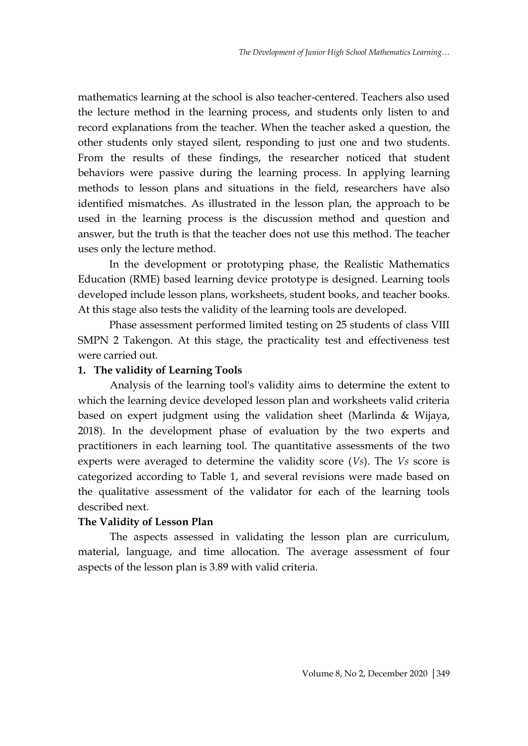mathematics learning at the school is also teacher-centered. Teachers also used the lecture method in the learning process, and students only listen to and record explanations from the teacher. When the teacher asked a question, the other students only stayed silent, responding to just one and two students. From the results of these findings, the researcher noticed that student behaviors were passive during the learning process. In applying learning methods to lesson plans and situations in the field, researchers have also identified mismatches. As illustrated in the lesson plan, the approach to be used in the learning process is the discussion method and question and answer, but the truth is that the teacher does not use this method. The teacher uses only the lecture method.

In the development or prototyping phase, the Realistic Mathematics Education (RME) based learning device prototype is designed. Learning tools developed include lesson plans, worksheets, student books, and teacher books. At this stage also tests the validity of the learning tools are developed.

Phase assessment performed limited testing on 25 students of class VIII SMPN 2 Takengon. At this stage, the practicality test and effectiveness test were carried out.

### **1. The validity of Learning Tools**

Analysis of the learning tool's validity aims to determine the extent to which the learning device developed lesson plan and worksheets valid criteria based on expert judgment using the validation sheet (Marlinda & Wijaya, 2018). In the development phase of evaluation by the two experts and practitioners in each learning tool. The quantitative assessments of the two experts were averaged to determine the validity score (*Vs*). The *Vs* score is categorized according to Table 1, and several revisions were made based on the qualitative assessment of the validator for each of the learning tools described next.

#### **The Validity of Lesson Plan**

The aspects assessed in validating the lesson plan are curriculum, material, language, and time allocation. The average assessment of four aspects of the lesson plan is 3.89 with valid criteria.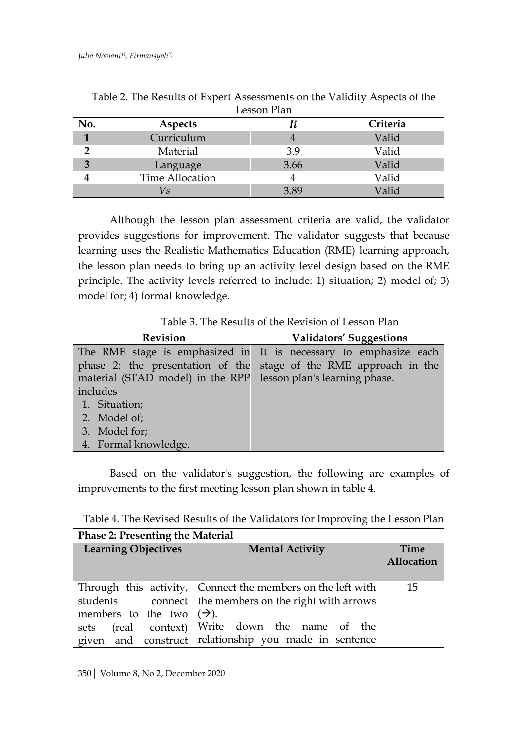|              |                 | Lesson Pian |          |
|--------------|-----------------|-------------|----------|
| No.          | Aspects         | lί          | Criteria |
| $\mathbf{1}$ | Curriculum      |             | Valid    |
|              | Material        | 3.9         | Valid    |
| 3            | Language        | 3.66        | Valid    |
|              | Time Allocation |             | Valid    |
|              | V <sub>S</sub>  | 3.89        | Valid    |

Table 2. The Results of Expert Assessments on the Validity Aspects of the Lesson Plan

Although the lesson plan assessment criteria are valid, the validator provides suggestions for improvement. The validator suggests that because learning uses the Realistic Mathematics Education (RME) learning approach, the lesson plan needs to bring up an activity level design based on the RME principle. The activity levels referred to include: 1) situation; 2) model of; 3) model for; 4) formal knowledge.

Table 3. The Results of the Revision of Lesson Plan

| <b>Revision</b>                                                | <b>Validators' Suggestions</b>                                    |
|----------------------------------------------------------------|-------------------------------------------------------------------|
|                                                                | The RME stage is emphasized in It is necessary to emphasize each  |
|                                                                | phase 2: the presentation of the stage of the RME approach in the |
| material (STAD model) in the RPP lesson plan's learning phase. |                                                                   |
| includes                                                       |                                                                   |
| 1. Situation;                                                  |                                                                   |
| 2. Model of:                                                   |                                                                   |
| 3. Model for;                                                  |                                                                   |
| 4. Formal knowledge.                                           |                                                                   |

Based on the validator's suggestion, the following are examples of improvements to the first meeting lesson plan shown in table 4.

Table 4. The Revised Results of the Validators for Improving the Lesson Plan

| <b>Phase 2: Presenting the Material</b> |                                                                                                                      |                    |
|-----------------------------------------|----------------------------------------------------------------------------------------------------------------------|--------------------|
| <b>Learning Objectives</b>              | <b>Mental Activity</b>                                                                                               | Time<br>Allocation |
| members to the two $(\rightarrow)$ .    | Through this activity, Connect the members on the left with<br>students connect the members on the right with arrows | 15                 |
| sets                                    | (real context) Write down the name of the<br>given and construct relationship you made in sentence                   |                    |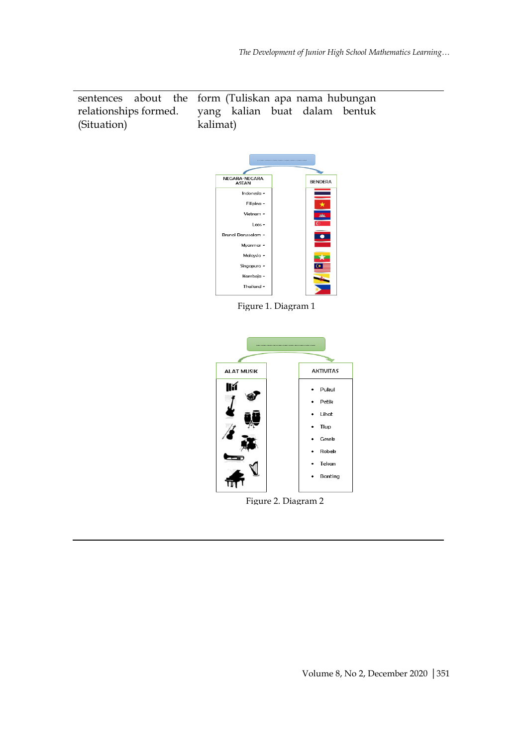sentences about the relationships formed. (Situation) form (Tuliskan apa nama hubungan yang kalian buat dalam bentuk kalimat)



Figure 1. Diagram 1



Figure 2. Diagram 2

Volume 8, No 2, December 2020 |351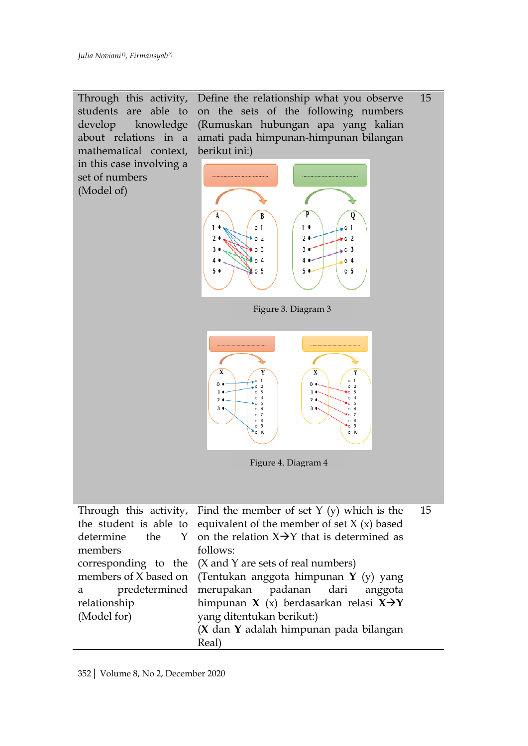

352| Volume 8, No 2, December 2020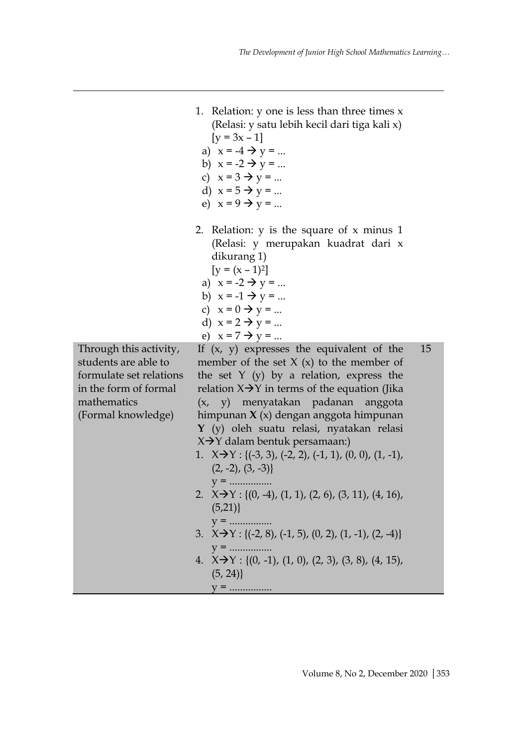1. Relation:  $y$  one is less than three times  $x$ 

(Relasi: y satu lebih kecil dari tiga kali x)  $[y = 3x - 1]$ a)  $x = -4 \rightarrow y = ...$ b)  $x = -2 \rightarrow y = ...$ c)  $x = 3 \rightarrow y = ...$ d)  $x = 5 \rightarrow y = ...$ e)  $x = 9 \rightarrow y = ...$ 2. Relation: y is the square of x minus 1 (Relasi: y merupakan kuadrat dari x dikurang 1)  $[y = (x - 1)^2]$ a)  $x = -2 \rightarrow y = ...$ b)  $x = -1 \rightarrow y = ...$ c)  $x = 0 \rightarrow y = ...$ d)  $x = 2 \rightarrow y = ...$ e)  $x = 7 \rightarrow y = ...$ If  $(x, y)$  expresses the equivalent of the member of the set  $X(x)$  to the member of the set  $Y(y)$  by a relation, express the relation  $X \rightarrow Y$  in terms of the equation (Jika (x, y) menyatakan padanan anggota himpunan **X** (x) dengan anggota himpunan **Y** (y) oleh suatu relasi, nyatakan relasi  $X \rightarrow Y$  dalam bentuk persamaan:) 1.  $X \rightarrow Y$ : {(-3, 3), (-2, 2), (-1, 1), (0, 0), (1, -1),  $(2, -2), (3, -3)$ y = ................ 2.  $X \rightarrow Y$ : {(0, -4), (1, 1), (2, 6), (3, 11), (4, 16),  $(5,21)$ y = ................ 3.  $X \rightarrow Y$ : {(-2, 8), (-1, 5), (0, 2), (1, -1), (2, -4)} y = ................ 4.  $X \rightarrow Y$ : {(0, -1), (1, 0), (2, 3), (3, 8), (4, 15),  $(5, 24)$ y = ................ 15

Through this activity, students are able to formulate set relations in the form of formal mathematics (Formal knowledge)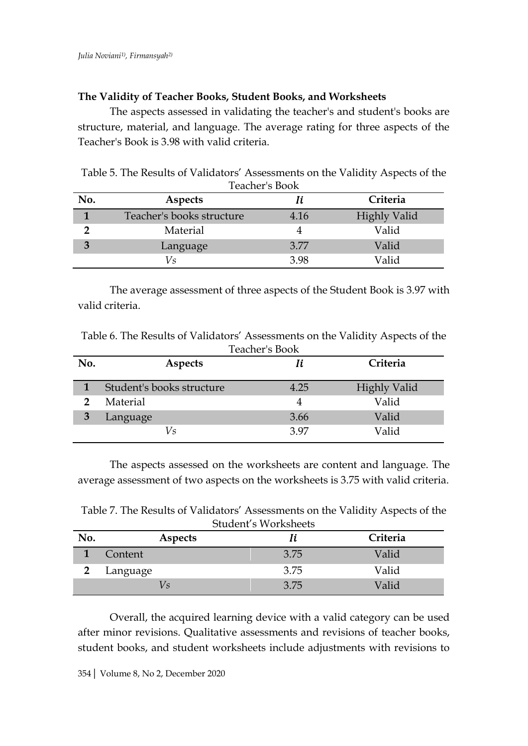### **The Validity of Teacher Books, Student Books, and Worksheets**

The aspects assessed in validating the teacher's and student's books are structure, material, and language. The average rating for three aspects of the Teacher's Book is 3.98 with valid criteria.

Table 5. The Results of Validators' Assessments on the Validity Aspects of the Teacher's Book

| No. | Aspects                   | Ii.  | Criteria            |
|-----|---------------------------|------|---------------------|
|     | Teacher's books structure | 4.16 | <b>Highly Valid</b> |
|     | Material                  |      | Valid               |
| 3   | Language                  | 3.77 | Valid               |
|     | Vs                        | 3.98 | Valid               |

The average assessment of three aspects of the Student Book is 3.97 with valid criteria.

Table 6. The Results of Validators' Assessments on the Validity Aspects of the agher<sup>10</sup>

|     |                           | Teacher's book |                     |
|-----|---------------------------|----------------|---------------------|
| No. | <b>Aspects</b>            | Ii             | Criteria            |
|     | Student's books structure | 4.25           | <b>Highly Valid</b> |
| 2   | Material                  |                | Valid               |
|     | Language                  | 3.66           | Valid               |
|     | Vs                        | 397            | Valid               |

The aspects assessed on the worksheets are content and language. The average assessment of two aspects on the worksheets is 3.75 with valid criteria.

Table 7. The Results of Validators' Assessments on the Validity Aspects of the Student's Worksheets

|     |          | S    |          |
|-----|----------|------|----------|
| No. | Aspects  | Ii   | Criteria |
|     | Content  | 3.75 | Valid    |
|     | Language | 3.75 | Valid    |
|     | VS       | 3.75 | Valid    |

Overall, the acquired learning device with a valid category can be used after minor revisions. Qualitative assessments and revisions of teacher books, student books, and student worksheets include adjustments with revisions to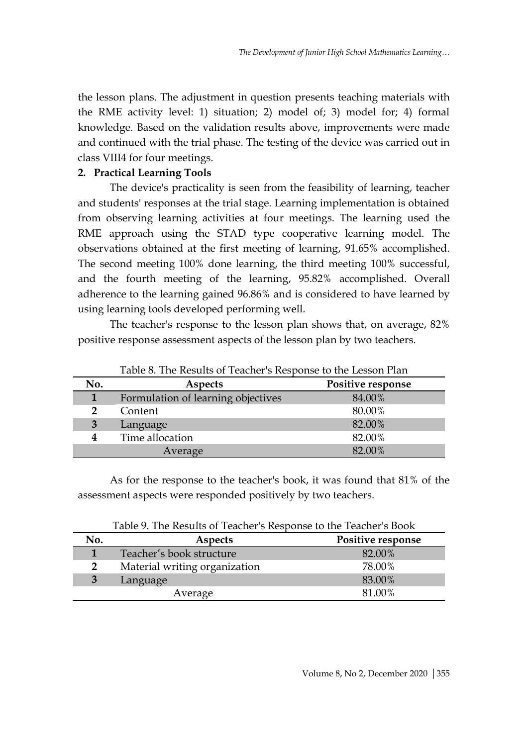the lesson plans. The adjustment in question presents teaching materials with the RME activity level: 1) situation; 2) model of; 3) model for; 4) formal knowledge. Based on the validation results above, improvements were made and continued with the trial phase. The testing of the device was carried out in class VIII4 for four meetings.

# **2. Practical Learning Tools**

The device's practicality is seen from the feasibility of learning, teacher and students' responses at the trial stage. Learning implementation is obtained from observing learning activities at four meetings. The learning used the RME approach using the STAD type cooperative learning model. The observations obtained at the first meeting of learning, 91.65% accomplished. The second meeting 100% done learning, the third meeting 100% successful, and the fourth meeting of the learning, 95.82% accomplished. Overall adherence to the learning gained 96.86% and is considered to have learned by using learning tools developed performing well.

The teacher's response to the lesson plan shows that, on average, 82% positive response assessment aspects of the lesson plan by two teachers.

| No. | <b>Aspects</b>                     | Positive response |
|-----|------------------------------------|-------------------|
|     | Formulation of learning objectives | 84.00%            |
|     | Content                            | 80.00%            |
| 3   | Language                           | 82.00%            |
|     | Time allocation                    | 82.00%            |
|     | Average                            | 82.00%            |

Table 8. The Results of Teacher's Response to the Lesson Plan

As for the response to the teacher's book, it was found that 81% of the assessment aspects were responded positively by two teachers.

Table 9. The Results of Teacher's Response to the Teacher's Book

| No.            | <b>Aspects</b>                | Positive response |
|----------------|-------------------------------|-------------------|
|                | Teacher's book structure      | 82.00%            |
| $\overline{2}$ | Material writing organization | 78.00%            |
| 3              | Language                      | 83.00%            |
|                | Average                       | 81 00%            |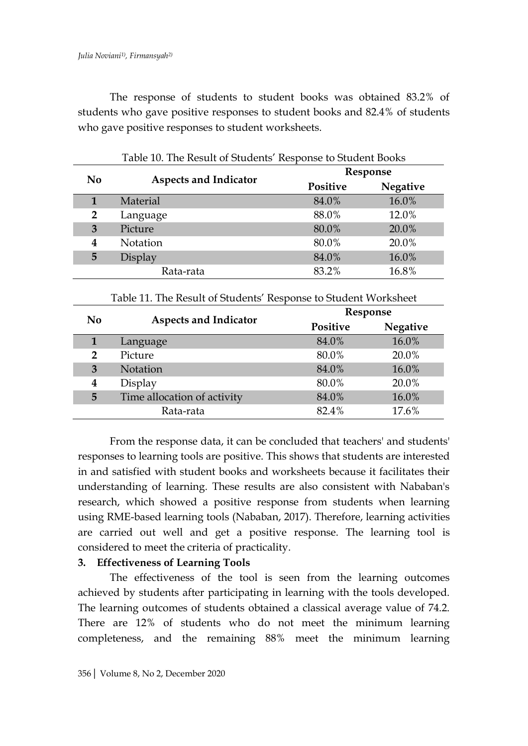The response of students to student books was obtained 83.2% of students who gave positive responses to student books and 82.4% of students who gave positive responses to student worksheets.

|                | Table 10. The Result of Students' Response to Student Books     |                 |                 |
|----------------|-----------------------------------------------------------------|-----------------|-----------------|
|                |                                                                 |                 | Response        |
| N <sub>0</sub> | <b>Aspects and Indicator</b>                                    | <b>Positive</b> | <b>Negative</b> |
| $\mathbf{1}$   | Material                                                        | 84.0%           | 16.0%           |
| $\overline{2}$ | Language                                                        | 88.0%           | 12.0%           |
| 3              | Picture                                                         | 80.0%           | 20.0%           |
| 4              | <b>Notation</b>                                                 | 80.0%           | 20.0%           |
| 5              | Display                                                         | 84.0%           | 16.0%           |
|                | Rata-rata                                                       | 83.2%           | 16.8%           |
|                |                                                                 |                 |                 |
|                | Table 11. The Result of Students' Response to Student Worksheet |                 |                 |
|                |                                                                 |                 | Response        |
| N <sub>0</sub> | <b>Aspects and Indicator</b>                                    | <b>Positive</b> | <b>Negative</b> |
| $\mathbf{1}$   | Language                                                        | 84.0%           | 16.0%           |
| 2              | Picture                                                         | 80.0%           | 20.0%           |

**4** Display 80.0% 20.0% **5** Time allocation of activity 84.0% 16.0%

Rata-rata 82.4% 17.6%

From the response data, it can be concluded that teachers' and students' responses to learning tools are positive. This shows that students are interested in and satisfied with student books and worksheets because it facilitates their understanding of learning. These results are also consistent with Nababan's research, which showed a positive response from students when learning using RME-based learning tools (Nababan, 2017). Therefore, learning activities are carried out well and get a positive response. The learning tool is considered to meet the criteria of practicality.

### **3. Effectiveness of Learning Tools**

The effectiveness of the tool is seen from the learning outcomes achieved by students after participating in learning with the tools developed. The learning outcomes of students obtained a classical average value of 74.2. There are 12% of students who do not meet the minimum learning completeness, and the remaining 88% meet the minimum learning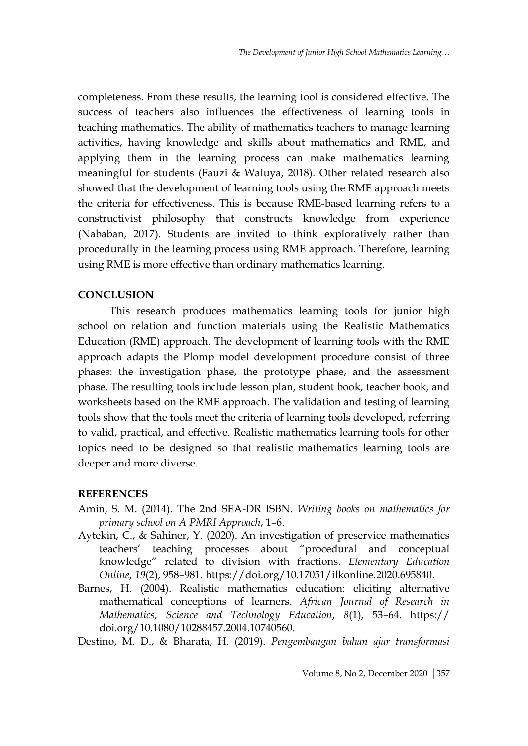completeness. From these results, the learning tool is considered effective. The success of teachers also influences the effectiveness of learning tools in teaching mathematics. The ability of mathematics teachers to manage learning activities, having knowledge and skills about mathematics and RME, and applying them in the learning process can make mathematics learning meaningful for students (Fauzi & Waluya, 2018). Other related research also showed that the development of learning tools using the RME approach meets the criteria for effectiveness. This is because RME-based learning refers to a constructivist philosophy that constructs knowledge from experience (Nababan, 2017). Students are invited to think exploratively rather than procedurally in the learning process using RME approach. Therefore, learning using RME is more effective than ordinary mathematics learning.

# **CONCLUSION**

This research produces mathematics learning tools for junior high school on relation and function materials using the Realistic Mathematics Education (RME) approach. The development of learning tools with the RME approach adapts the Plomp model development procedure consist of three phases: the investigation phase, the prototype phase, and the assessment phase. The resulting tools include lesson plan, student book, teacher book, and worksheets based on the RME approach. The validation and testing of learning tools show that the tools meet the criteria of learning tools developed, referring to valid, practical, and effective. Realistic mathematics learning tools for other topics need to be designed so that realistic mathematics learning tools are deeper and more diverse.

### **REFERENCES**

- Amin, S. M. (2014). The 2nd SEA-DR ISBN. *Writing books on mathematics for primary school on A PMRI Approach*, 1–6.
- Aytekin, C., & Sahiner, Y. (2020). An investigation of preservice mathematics teachers' teaching processes about "procedural and conceptual knowledge" related to division with fractions. *Elementary Education Online*, *19*(2), 958–981. https://doi.org/10.17051/ilkonline.2020.695840.
- Barnes, H. (2004). Realistic mathematics education: eliciting alternative mathematical conceptions of learners. *African Journal of Research in Mathematics, Science and Technology Education*, *8*(1), 53–64. https:// doi.org/10.1080/10288457.2004.10740560.

Destino, M. D., & Bharata, H. (2019). *Pengembangan bahan ajar transformasi*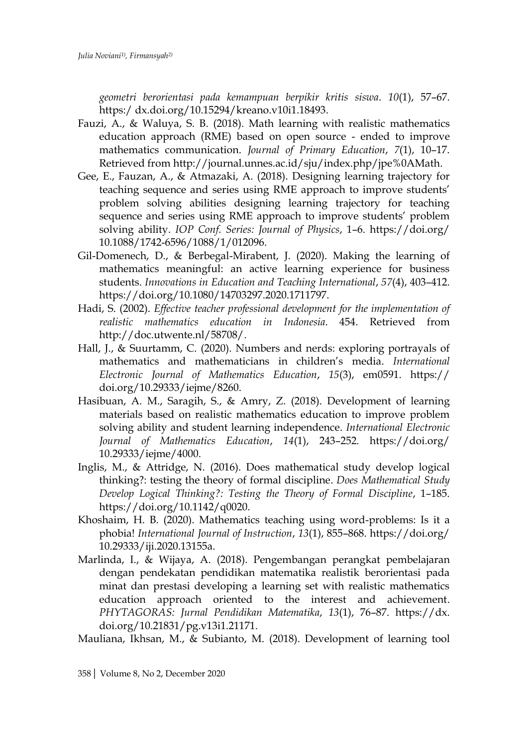*geometri berorientasi pada kemampuan berpikir kritis siswa*. *10*(1), 57–67. https:/ dx.doi.org/10.15294/kreano.v10i1.18493.

- Fauzi, A., & Waluya, S. B. (2018). Math learning with realistic mathematics education approach (RME) based on open source - ended to improve mathematics communication. *Journal of Primary Education*, *7*(1), 10–17. Retrieved from http://journal.unnes.ac.id/sju/index.php/jpe%0AMath.
- Gee, E., Fauzan, A., & Atmazaki, A. (2018). Designing learning trajectory for teaching sequence and series using RME approach to improve students' problem solving abilities designing learning trajectory for teaching sequence and series using RME approach to improve students' problem solving ability. *IOP Conf. Series: Journal of Physics*, 1–6. https://doi.org/ 10.1088/1742-6596/1088/1/012096.
- Gil-Domenech, D., & Berbegal-Mirabent, J. (2020). Making the learning of mathematics meaningful: an active learning experience for business students. *Innovations in Education and Teaching International*, *57*(4), 403–412. https://doi.org/10.1080/14703297.2020.1711797.
- Hadi, S. (2002). *Effective teacher professional development for the implementation of realistic mathematics education in Indonesia*. 454. Retrieved from http://doc.utwente.nl/58708/.
- Hall, J., & Suurtamm, C. (2020). Numbers and nerds: exploring portrayals of mathematics and mathematicians in children's media. *International Electronic Journal of Mathematics Education*, *15*(3), em0591. https:// doi.org/10.29333/iejme/8260.
- Hasibuan, A. M., Saragih, S., & Amry, Z. (2018). Development of learning materials based on realistic mathematics education to improve problem solving ability and student learning independence. *International Electronic Journal of Mathematics Education*, *14*(1), 243–252. https://doi.org/ 10.29333/iejme/4000.
- Inglis, M., & Attridge, N. (2016). Does mathematical study develop logical thinking?: testing the theory of formal discipline. *Does Mathematical Study Develop Logical Thinking?: Testing the Theory of Formal Discipline*, 1–185. https://doi.org/10.1142/q0020.
- Khoshaim, H. B. (2020). Mathematics teaching using word-problems: Is it a phobia! *International Journal of Instruction*, *13*(1), 855–868. https://doi.org/ 10.29333/iji.2020.13155a.
- Marlinda, I., & Wijaya, A. (2018). Pengembangan perangkat pembelajaran dengan pendekatan pendidikan matematika realistik berorientasi pada minat dan prestasi developing a learning set with realistic mathematics education approach oriented to the interest and achievement. *PHYTAGORAS: Jurnal Pendidikan Matematika*, *13*(1), 76–87. https://dx. doi.org/10.21831/pg.v13i1.21171.

Mauliana, Ikhsan, M., & Subianto, M. (2018). Development of learning tool